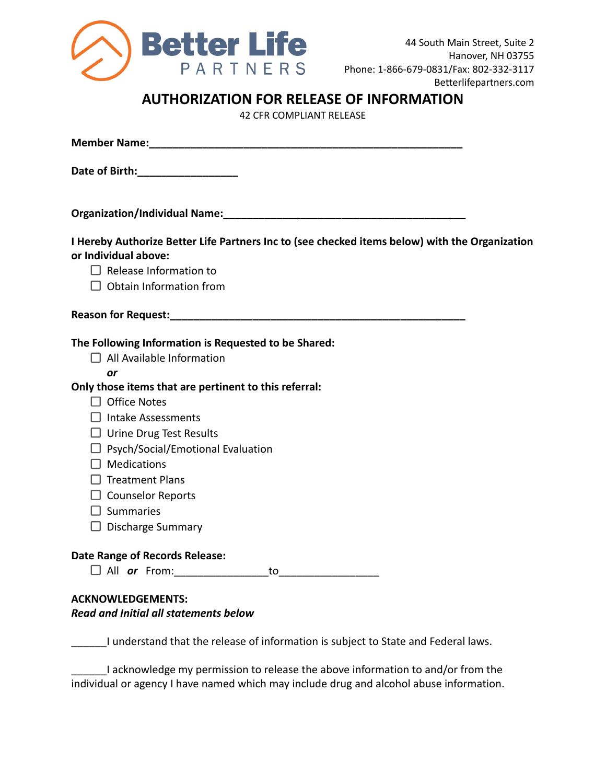

## **AUTHORIZATION FOR RELEASE OF INFORMATION**

42 CFR COMPLIANT RELEASE

| Date of Birth: _________________                                                                                       |
|------------------------------------------------------------------------------------------------------------------------|
|                                                                                                                        |
| I Hereby Authorize Better Life Partners Inc to (see checked items below) with the Organization<br>or Individual above: |
| $\Box$ Release Information to                                                                                          |
| $\Box$ Obtain Information from                                                                                         |
|                                                                                                                        |
| The Following Information is Requested to be Shared:                                                                   |
| $\Box$ All Available Information                                                                                       |
| or                                                                                                                     |
| Only those items that are pertinent to this referral:                                                                  |
| $\Box$ Office Notes                                                                                                    |
| $\Box$ Intake Assessments                                                                                              |
| $\Box$ Urine Drug Test Results                                                                                         |
| $\Box$ Psych/Social/Emotional Evaluation                                                                               |
| $\Box$ Medications                                                                                                     |
| $\Box$ Treatment Plans                                                                                                 |
| $\Box$ Counselor Reports                                                                                               |
| $\Box$ Summaries                                                                                                       |
| $\Box$ Discharge Summary                                                                                               |
| <b>Date Range of Records Release:</b>                                                                                  |
| All or From:<br>to                                                                                                     |
|                                                                                                                        |
| <b>ACKNOWLEDGEMENTS:</b><br><b>Read and Initial all statements below</b>                                               |
|                                                                                                                        |
| I understand that the release of information is subject to State and Federal laws.                                     |

I acknowledge my permission to release the above information to and/or from the individual or agency I have named which may include drug and alcohol abuse information.